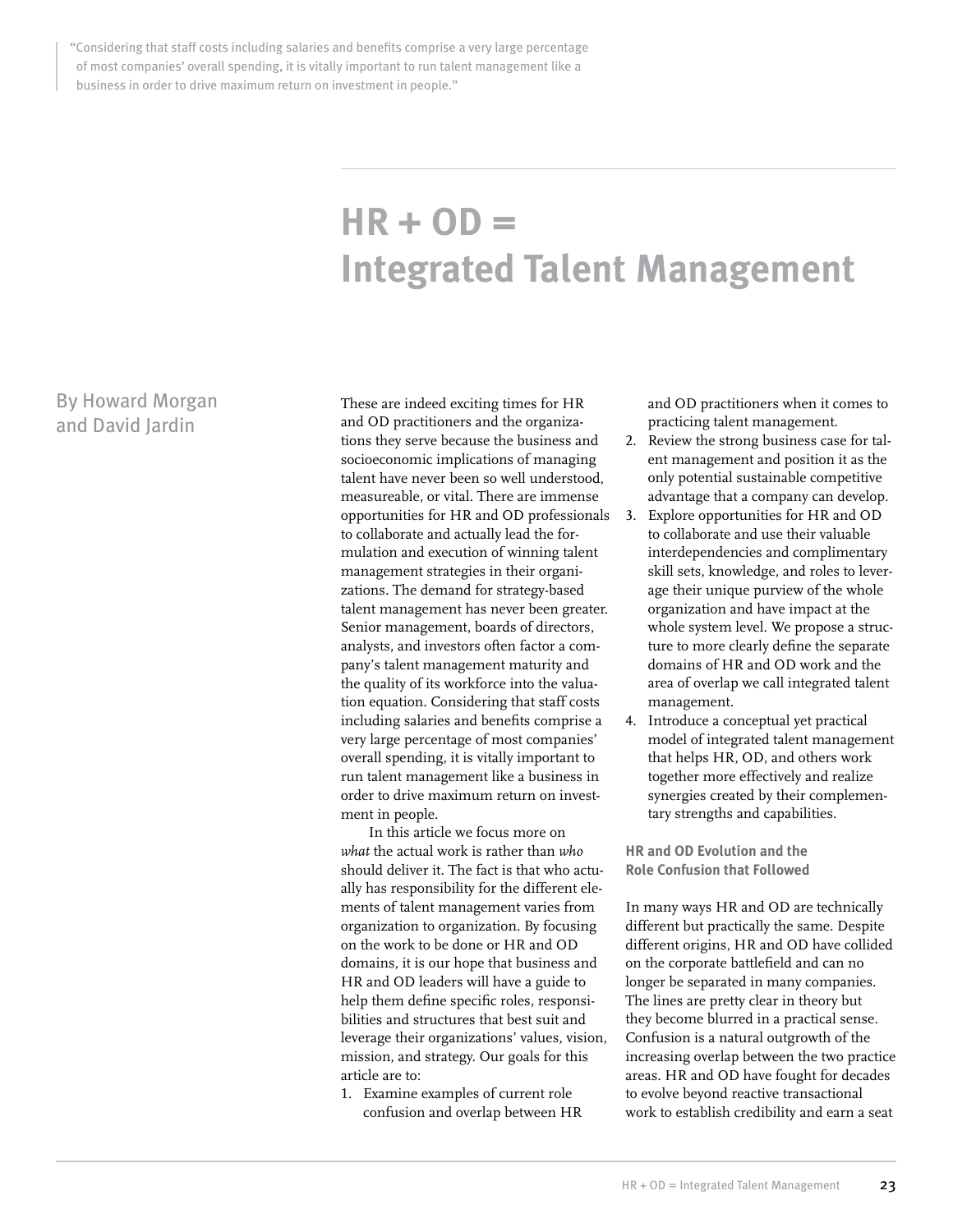"Considering that staff costs including salaries and benefits comprise a very large percentage of most companies' overall spending, it is vitally important to run talent management like a business in order to drive maximum return on investment in people."

# **HR + OD = Integrated Talent Management**

# By Howard Morgan and David Jardin

These are indeed exciting times for HR and OD practitioners and the organizations they serve because the business and socioeconomic implications of managing talent have never been so well understood, measureable, or vital. There are immense opportunities for HR and OD professionals to collaborate and actually lead the formulation and execution of winning talent management strategies in their organizations. The demand for strategy-based talent management has never been greater. Senior management, boards of directors, analysts, and investors often factor a company's talent management maturity and the quality of its workforce into the valuation equation. Considering that staff costs including salaries and benefits comprise a very large percentage of most companies' overall spending, it is vitally important to run talent management like a business in order to drive maximum return on investment in people.

In this article we focus more on *what* the actual work is rather than *who* should deliver it. The fact is that who actually has responsibility for the different elements of talent management varies from organization to organization. By focusing on the work to be done or HR and OD domains, it is our hope that business and HR and OD leaders will have a guide to help them define specific roles, responsibilities and structures that best suit and leverage their organizations' values, vision, mission, and strategy. Our goals for this article are to:

1. Examine examples of current role confusion and overlap between HR and OD practitioners when it comes to practicing talent management.

- 2. Review the strong business case for talent management and position it as the only potential sustainable competitive advantage that a company can develop.
- Explore opportunities for HR and OD to collaborate and use their valuable interdependencies and complimentary skill sets, knowledge, and roles to leverage their unique purview of the whole organization and have impact at the whole system level. We propose a structure to more clearly define the separate domains of HR and OD work and the area of overlap we call integrated talent management.
- 4. Introduce a conceptual yet practical model of integrated talent management that helps HR, OD, and others work together more effectively and realize synergies created by their complementary strengths and capabilities.

**HR and OD Evolution and the Role Confusion that Followed**

In many ways HR and OD are technically different but practically the same. Despite different origins, HR and OD have collided on the corporate battlefield and can no longer be separated in many companies. The lines are pretty clear in theory but they become blurred in a practical sense. Confusion is a natural outgrowth of the increasing overlap between the two practice areas. HR and OD have fought for decades to evolve beyond reactive transactional work to establish credibility and earn a seat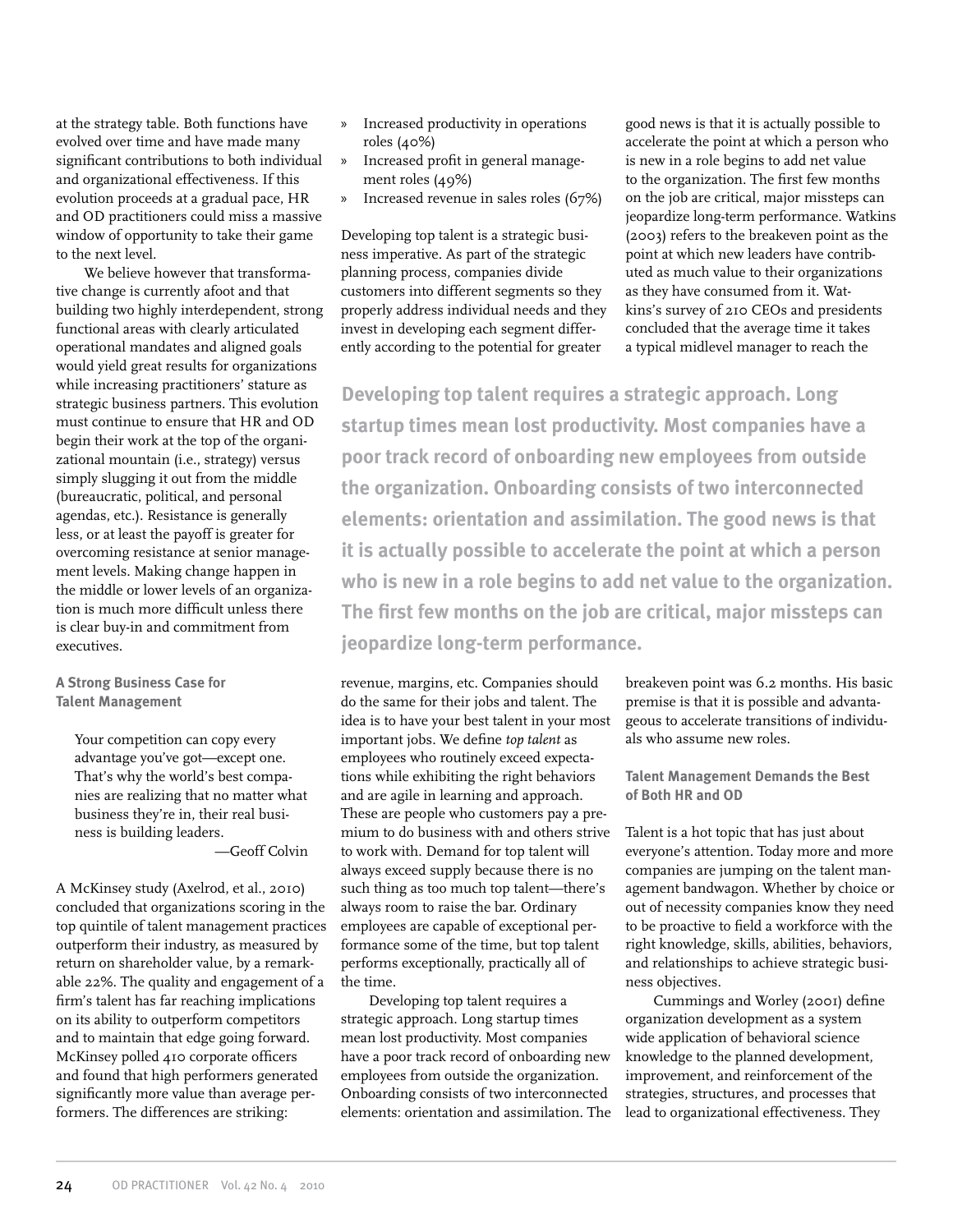at the strategy table. Both functions have evolved over time and have made many significant contributions to both individual and organizational effectiveness. If this evolution proceeds at a gradual pace, HR and OD practitioners could miss a massive window of opportunity to take their game to the next level.

We believe however that transformative change is currently afoot and that building two highly interdependent, strong functional areas with clearly articulated operational mandates and aligned goals would yield great results for organizations while increasing practitioners' stature as strategic business partners. This evolution must continue to ensure that HR and OD begin their work at the top of the organizational mountain (i.e., strategy) versus simply slugging it out from the middle (bureaucratic, political, and personal agendas, etc.). Resistance is generally less, or at least the payoff is greater for overcoming resistance at senior management levels. Making change happen in the middle or lower levels of an organization is much more difficult unless there is clear buy-in and commitment from executives.

**A Strong Business Case for Talent Management**

> Your competition can copy every advantage you've got—except one. That's why the world's best companies are realizing that no matter what business they're in, their real business is building leaders.

—Geoff Colvin

A McKinsey study (Axelrod, et al., 2010) concluded that organizations scoring in the top quintile of talent management practices outperform their industry, as measured by return on shareholder value, by a remarkable 22%. The quality and engagement of a firm's talent has far reaching implications on its ability to outperform competitors and to maintain that edge going forward. McKinsey polled 410 corporate officers and found that high performers generated significantly more value than average performers. The differences are striking:

- » Increased productivity in operations roles (40%)
- » Increased profit in general management roles (49%)
- » Increased revenue in sales roles (67%)

Developing top talent is a strategic business imperative. As part of the strategic planning process, companies divide customers into different segments so they properly address individual needs and they invest in developing each segment differently according to the potential for greater

good news is that it is actually possible to accelerate the point at which a person who is new in a role begins to add net value to the organization. The first few months on the job are critical, major missteps can jeopardize long-term performance. Watkins (2003) refers to the breakeven point as the point at which new leaders have contributed as much value to their organizations as they have consumed from it. Watkins's survey of 210 CEOs and presidents concluded that the average time it takes a typical midlevel manager to reach the

**Developing top talent requires a strategic approach. Long startup times mean lost productivity. Most companies have a poor track record of onboarding new employees from outside the organization. Onboarding consists of two interconnected elements: orientation and assimilation. The good news is that it is actually possible to accelerate the point at which a person who is new in a role begins to add net value to the organization. The first few months on the job are critical, major missteps can jeopardize long-term performance.**

revenue, margins, etc. Companies should do the same for their jobs and talent. The idea is to have your best talent in your most important jobs. We define *top talent* as employees who routinely exceed expectations while exhibiting the right behaviors and are agile in learning and approach. These are people who customers pay a premium to do business with and others strive to work with. Demand for top talent will always exceed supply because there is no such thing as too much top talent—there's always room to raise the bar. Ordinary employees are capable of exceptional performance some of the time, but top talent performs exceptionally, practically all of the time.

Developing top talent requires a strategic approach. Long startup times mean lost productivity. Most companies have a poor track record of onboarding new employees from outside the organization. Onboarding consists of two interconnected elements: orientation and assimilation. The

breakeven point was 6.2 months. His basic premise is that it is possible and advantageous to accelerate transitions of individuals who assume new roles.

**Talent Management Demands the Best of Both HR and OD**

Talent is a hot topic that has just about everyone's attention. Today more and more companies are jumping on the talent management bandwagon. Whether by choice or out of necessity companies know they need to be proactive to field a workforce with the right knowledge, skills, abilities, behaviors, and relationships to achieve strategic business objectives.

Cummings and Worley (2001) define organization development as a system wide application of behavioral science knowledge to the planned development, improvement, and reinforcement of the strategies, structures, and processes that lead to organizational effectiveness. They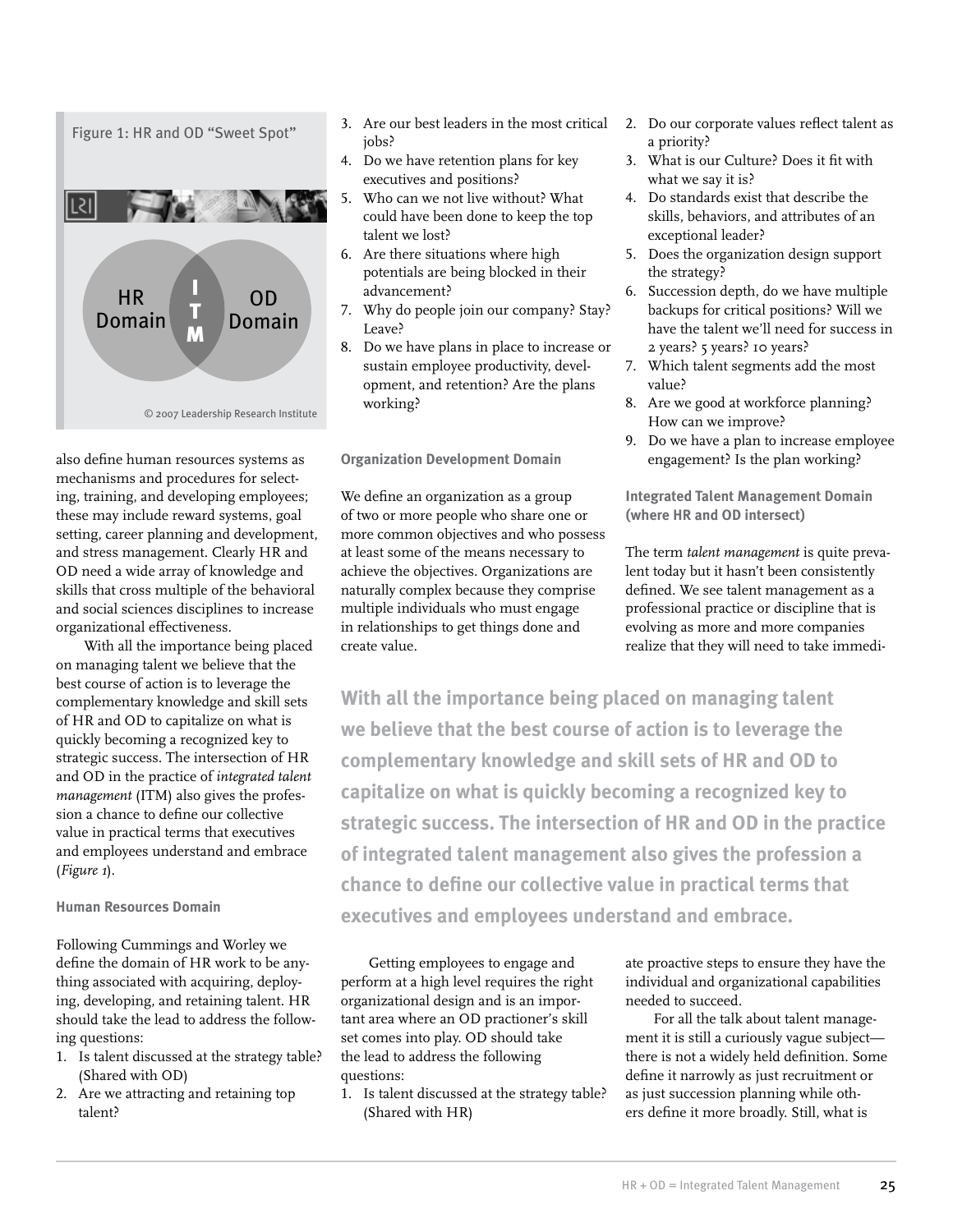

also define human resources systems as mechanisms and procedures for selecting, training, and developing employees; these may include reward systems, goal setting, career planning and development, and stress management. Clearly HR and OD need a wide array of knowledge and skills that cross multiple of the behavioral and social sciences disciplines to increase organizational effectiveness.

With all the importance being placed on managing talent we believe that the best course of action is to leverage the complementary knowledge and skill sets of HR and OD to capitalize on what is quickly becoming a recognized key to strategic success. The intersection of HR and OD in the practice of *integrated talent management* (ITM) also gives the profession a chance to define our collective value in practical terms that executives and employees understand and embrace (*Figure 1*).

## **Human Resources Domain**

Following Cummings and Worley we define the domain of HR work to be anything associated with acquiring, deploying, developing, and retaining talent. HR should take the lead to address the following questions:

- 1. Is talent discussed at the strategy table? (Shared with OD)
- 2. Are we attracting and retaining top talent?
- 3. Are our best leaders in the most critical jobs?
- 4. Do we have retention plans for key executives and positions?
- 5. Who can we not live without? What could have been done to keep the top talent we lost?
- 6. Are there situations where high potentials are being blocked in their advancement?
- 7. Why do people join our company? Stay? Leave?
- 8. Do we have plans in place to increase or sustain employee productivity, development, and retention? Are the plans working?

**Organization Development Domain**

We define an organization as a group of two or more people who share one or more common objectives and who possess at least some of the means necessary to achieve the objectives. Organizations are naturally complex because they comprise multiple individuals who must engage in relationships to get things done and create value.

- 2. Do our corporate values reflect talent as a priority?
- 3. What is our Culture? Does it fit with what we say it is?
- 4. Do standards exist that describe the skills, behaviors, and attributes of an exceptional leader?
- 5. Does the organization design support the strategy?
- 6. Succession depth, do we have multiple backups for critical positions? Will we have the talent we'll need for success in 2 years? 5 years? 10 years?
- 7. Which talent segments add the most value?
- 8. Are we good at workforce planning? How can we improve?
- 9. Do we have a plan to increase employee engagement? Is the plan working?

**Integrated Talent Management Domain (where HR and OD intersect)**

The term *talent management* is quite prevalent today but it hasn't been consistently defined. We see talent management as a professional practice or discipline that is evolving as more and more companies realize that they will need to take immedi-

**With all the importance being placed on managing talent we believe that the best course of action is to leverage the complementary knowledge and skill sets of HR and OD to capitalize on what is quickly becoming a recognized key to strategic success. The intersection of HR and OD in the practice of integrated talent management also gives the profession a chance to define our collective value in practical terms that executives and employees understand and embrace.**

Getting employees to engage and perform at a high level requires the right organizational design and is an important area where an OD practioner's skill set comes into play. OD should take the lead to address the following questions:

1. Is talent discussed at the strategy table? (Shared with HR)

ate proactive steps to ensure they have the individual and organizational capabilities needed to succeed.

For all the talk about talent management it is still a curiously vague subject there is not a widely held definition. Some define it narrowly as just recruitment or as just succession planning while others define it more broadly. Still, what is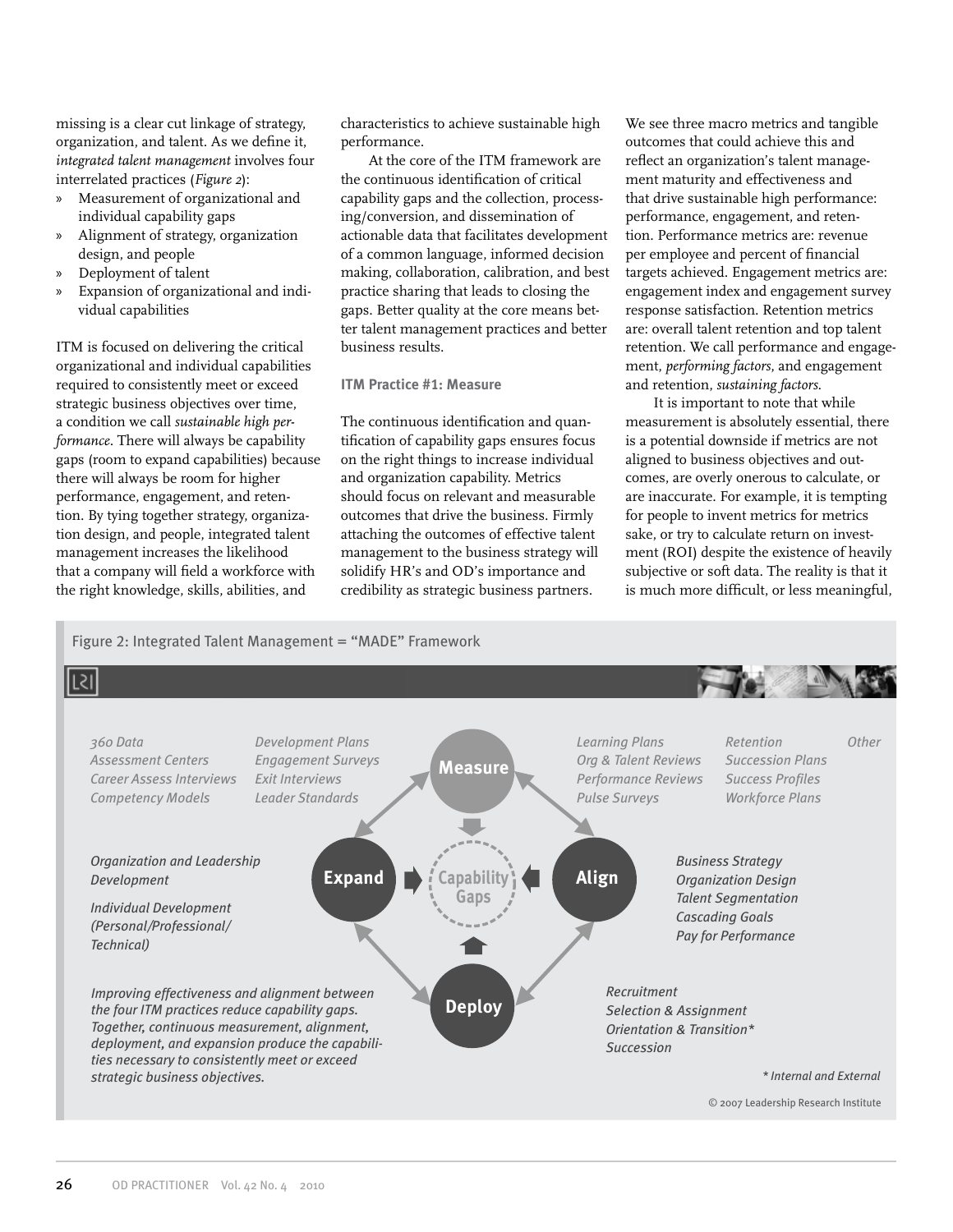missing is a clear cut linkage of strategy, organization, and talent. As we define it, *integrated talent management* involves four interrelated practices (*Figure 2*):

- » Measurement of organizational and individual capability gaps
- » Alignment of strategy, organization design, and people
- » Deployment of talent
- » Expansion of organizational and individual capabilities

ITM is focused on delivering the critical organizational and individual capabilities required to consistently meet or exceed strategic business objectives over time, a condition we call *sustainable high performance*. There will always be capability gaps (room to expand capabilities) because there will always be room for higher performance, engagement, and retention. By tying together strategy, organization design, and people, integrated talent management increases the likelihood that a company will field a workforce with the right knowledge, skills, abilities, and

characteristics to achieve sustainable high performance.

At the core of the ITM framework are the continuous identification of critical capability gaps and the collection, processing/conversion, and dissemination of actionable data that facilitates development of a common language, informed decision making, collaboration, calibration, and best practice sharing that leads to closing the gaps. Better quality at the core means better talent management practices and better business results.

# **ITM Practice #1: Measure**

The continuous identification and quantification of capability gaps ensures focus on the right things to increase individual and organization capability. Metrics should focus on relevant and measurable outcomes that drive the business. Firmly attaching the outcomes of effective talent management to the business strategy will solidify HR's and OD's importance and credibility as strategic business partners.

We see three macro metrics and tangible outcomes that could achieve this and reflect an organization's talent management maturity and effectiveness and that drive sustainable high performance: performance, engagement, and retention. Performance metrics are: revenue per employee and percent of financial targets achieved. Engagement metrics are: engagement index and engagement survey response satisfaction. Retention metrics are: overall talent retention and top talent retention. We call performance and engagement, *performing factors*, and engagement and retention, *sustaining factors*.

It is important to note that while measurement is absolutely essential, there is a potential downside if metrics are not aligned to business objectives and outcomes, are overly onerous to calculate, or are inaccurate. For example, it is tempting for people to invent metrics for metrics sake, or try to calculate return on investment (ROI) despite the existence of heavily subjective or soft data. The reality is that it is much more difficult, or less meaningful,

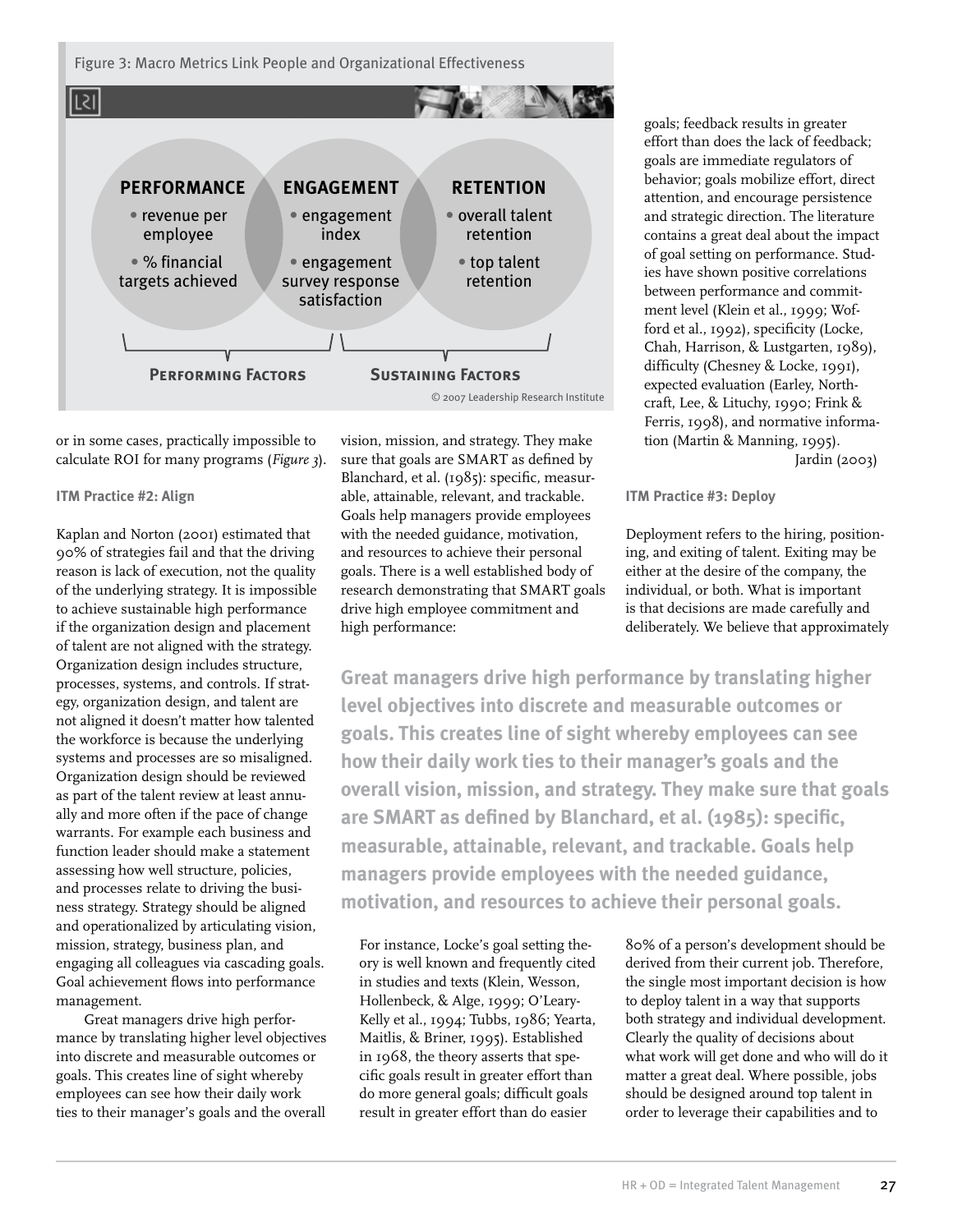Figure 3: Macro Metrics Link People and Organizational Effectiveness



or in some cases, practically impossible to calculate ROI for many programs (*Figure 3*).

#### **ITM Practice #2: Align**

Kaplan and Norton (2001) estimated that 90% of strategies fail and that the driving reason is lack of execution, not the quality of the underlying strategy. It is impossible to achieve sustainable high performance if the organization design and placement of talent are not aligned with the strategy. Organization design includes structure, processes, systems, and controls. If strategy, organization design, and talent are not aligned it doesn't matter how talented the workforce is because the underlying systems and processes are so misaligned. Organization design should be reviewed as part of the talent review at least annually and more often if the pace of change warrants. For example each business and function leader should make a statement assessing how well structure, policies, and processes relate to driving the business strategy. Strategy should be aligned and operationalized by articulating vision, mission, strategy, business plan, and engaging all colleagues via cascading goals. Goal achievement flows into performance management.

Great managers drive high performance by translating higher level objectives into discrete and measurable outcomes or goals. This creates line of sight whereby employees can see how their daily work ties to their manager's goals and the overall

vision, mission, and strategy. They make sure that goals are SMART as defined by Blanchard, et al. (1985): specific, measurable, attainable, relevant, and trackable. Goals help managers provide employees with the needed guidance, motivation, and resources to achieve their personal goals. There is a well established body of research demonstrating that SMART goals drive high employee commitment and high performance:

goals; feedback results in greater effort than does the lack of feedback; goals are immediate regulators of behavior; goals mobilize effort, direct attention, and encourage persistence and strategic direction. The literature contains a great deal about the impact of goal setting on performance. Studies have shown positive correlations between performance and commitment level (Klein et al., 1999; Wofford et al., 1992), specificity (Locke, Chah, Harrison, & Lustgarten, 1989), difficulty (Chesney & Locke, 1991), expected evaluation (Earley, Northcraft, Lee, & Lituchy, 1990; Frink & Ferris, 1998), and normative information (Martin & Manning, 1995). Jardin (2003)

#### **ITM Practice #3: Deploy**

Deployment refers to the hiring, positioning, and exiting of talent. Exiting may be either at the desire of the company, the individual, or both. What is important is that decisions are made carefully and deliberately. We believe that approximately

**Great managers drive high performance by translating higher level objectives into discrete and measurable outcomes or goals. This creates line of sight whereby employees can see how their daily work ties to their manager's goals and the overall vision, mission, and strategy. They make sure that goals are SMART as defined by Blanchard, et al. (1985): specific, measurable, attainable, relevant, and trackable. Goals help managers provide employees with the needed guidance, motivation, and resources to achieve their personal goals.**

For instance, Locke's goal setting theory is well known and frequently cited in studies and texts (Klein, Wesson, Hollenbeck, & Alge, 1999; O'Leary-Kelly et al., 1994; Tubbs, 1986; Yearta, Maitlis, & Briner, 1995). Established in 1968, the theory asserts that specific goals result in greater effort than do more general goals; difficult goals result in greater effort than do easier

80% of a person's development should be derived from their current job. Therefore, the single most important decision is how to deploy talent in a way that supports both strategy and individual development. Clearly the quality of decisions about what work will get done and who will do it matter a great deal. Where possible, jobs should be designed around top talent in order to leverage their capabilities and to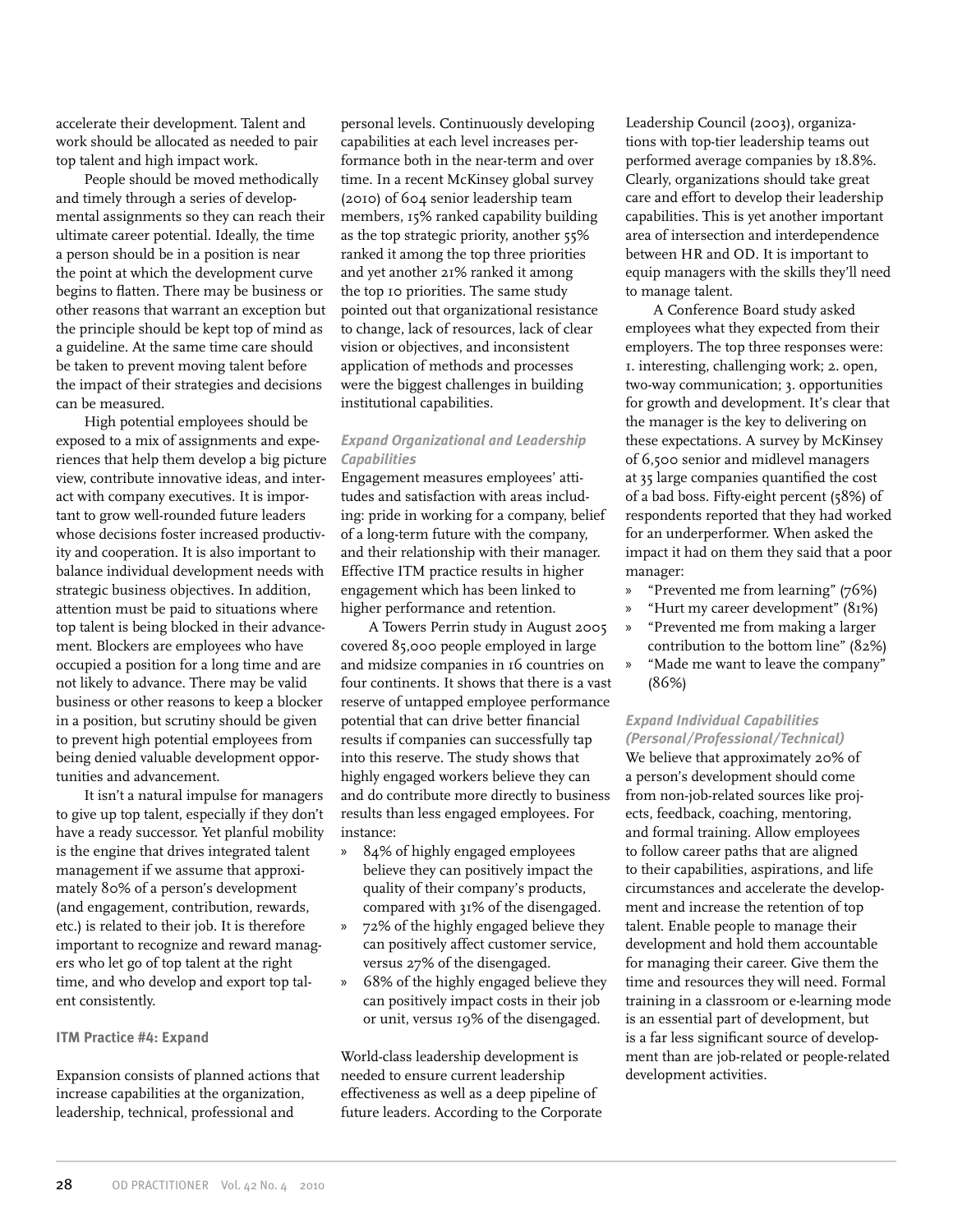accelerate their development. Talent and work should be allocated as needed to pair top talent and high impact work.

People should be moved methodically and timely through a series of developmental assignments so they can reach their ultimate career potential. Ideally, the time a person should be in a position is near the point at which the development curve begins to flatten. There may be business or other reasons that warrant an exception but the principle should be kept top of mind as a guideline. At the same time care should be taken to prevent moving talent before the impact of their strategies and decisions can be measured.

High potential employees should be exposed to a mix of assignments and experiences that help them develop a big picture view, contribute innovative ideas, and interact with company executives. It is important to grow well-rounded future leaders whose decisions foster increased productivity and cooperation. It is also important to balance individual development needs with strategic business objectives. In addition, attention must be paid to situations where top talent is being blocked in their advancement. Blockers are employees who have occupied a position for a long time and are not likely to advance. There may be valid business or other reasons to keep a blocker in a position, but scrutiny should be given to prevent high potential employees from being denied valuable development opportunities and advancement.

It isn't a natural impulse for managers to give up top talent, especially if they don't have a ready successor. Yet planful mobility is the engine that drives integrated talent management if we assume that approximately 80% of a person's development (and engagement, contribution, rewards, etc.) is related to their job. It is therefore important to recognize and reward managers who let go of top talent at the right time, and who develop and export top talent consistently.

#### **ITM Practice #4: Expand**

Expansion consists of planned actions that increase capabilities at the organization, leadership, technical, professional and

personal levels. Continuously developing capabilities at each level increases performance both in the near-term and over time. In a recent McKinsey global survey (2010) of 604 senior leadership team members, 15% ranked capability building as the top strategic priority, another 55% ranked it among the top three priorities and yet another 21% ranked it among the top 10 priorities. The same study pointed out that organizational resistance to change, lack of resources, lack of clear vision or objectives, and inconsistent application of methods and processes were the biggest challenges in building institutional capabilities.

# *Expand Organizational and Leadership Capabilities*

Engagement measures employees' attitudes and satisfaction with areas including: pride in working for a company, belief of a long-term future with the company, and their relationship with their manager. Effective ITM practice results in higher engagement which has been linked to higher performance and retention.

A Towers Perrin study in August 2005 covered 85,000 people employed in large and midsize companies in 16 countries on four continents. It shows that there is a vast reserve of untapped employee performance potential that can drive better financial results if companies can successfully tap into this reserve. The study shows that highly engaged workers believe they can and do contribute more directly to business results than less engaged employees. For instance:

- » 84% of highly engaged employees believe they can positively impact the quality of their company's products, compared with 31% of the disengaged.
- » 72% of the highly engaged believe they can positively affect customer service, versus 27% of the disengaged.
- » 68% of the highly engaged believe they can positively impact costs in their job or unit, versus 19% of the disengaged.

World-class leadership development is needed to ensure current leadership effectiveness as well as a deep pipeline of future leaders. According to the Corporate Leadership Council (2003), organizations with top-tier leadership teams out performed average companies by 18.8%. Clearly, organizations should take great care and effort to develop their leadership capabilities. This is yet another important area of intersection and interdependence between HR and OD. It is important to equip managers with the skills they'll need to manage talent.

A Conference Board study asked employees what they expected from their employers. The top three responses were: 1. interesting, challenging work; 2. open, two-way communication; 3. opportunities for growth and development. It's clear that the manager is the key to delivering on these expectations. A survey by McKinsey of 6,500 senior and midlevel managers at 35 large companies quantified the cost of a bad boss. Fifty-eight percent (58%) of respondents reported that they had worked for an underperformer. When asked the impact it had on them they said that a poor manager:

- » "Prevented me from learning" (76%)
- » "Hurt my career development" (81%)
- » "Prevented me from making a larger contribution to the bottom line" (82%)
- » "Made me want to leave the company" (86%)

## *Expand Individual Capabilities (Personal/Professional/Technical)*

We believe that approximately 20% of a person's development should come from non-job-related sources like projects, feedback, coaching, mentoring, and formal training. Allow employees to follow career paths that are aligned to their capabilities, aspirations, and life circumstances and accelerate the development and increase the retention of top talent. Enable people to manage their development and hold them accountable for managing their career. Give them the time and resources they will need. Formal training in a classroom or e-learning mode is an essential part of development, but is a far less significant source of development than are job-related or people-related development activities.